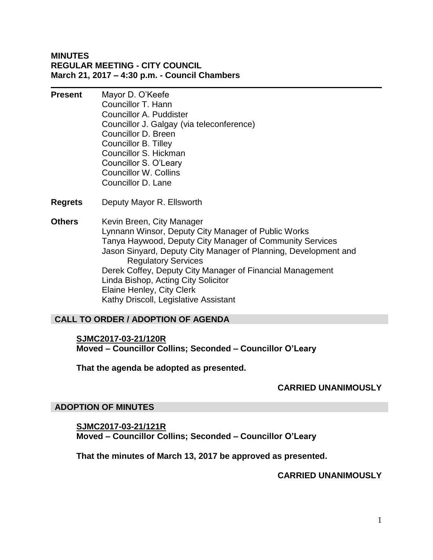## **MINUTES REGULAR MEETING - CITY COUNCIL March 21, 2017 – 4:30 p.m. - Council Chambers**

**Present** Mayor D. O'Keefe

Councillor T. Hann Councillor A. Puddister Councillor J. Galgay (via teleconference) Councillor D. Breen Councillor B. Tilley Councillor S. Hickman Councillor S. O'Leary Councillor W. Collins Councillor D. Lane

- **Regrets** Deputy Mayor R. Ellsworth
- **Others** Kevin Breen, City Manager Lynnann Winsor, Deputy City Manager of Public Works Tanya Haywood, Deputy City Manager of Community Services Jason Sinyard, Deputy City Manager of Planning, Development and Regulatory Services Derek Coffey, Deputy City Manager of Financial Management Linda Bishop, Acting City Solicitor Elaine Henley, City Clerk Kathy Driscoll, Legislative Assistant

# **CALL TO ORDER / ADOPTION OF AGENDA**

# **SJMC2017-03-21/120R Moved – Councillor Collins; Seconded – Councillor O'Leary**

**That the agenda be adopted as presented.**

## **CARRIED UNANIMOUSLY**

### **ADOPTION OF MINUTES**

**SJMC2017-03-21/121R Moved – Councillor Collins; Seconded – Councillor O'Leary**

**That the minutes of March 13, 2017 be approved as presented.**

## **CARRIED UNANIMOUSLY**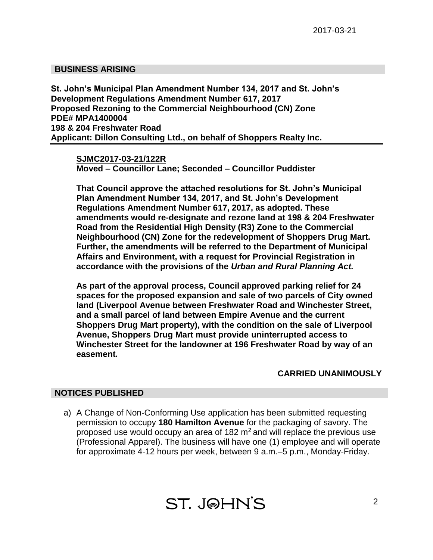### **BUSINESS ARISING**

**St. John's Municipal Plan Amendment Number 134, 2017 and St. John's Development Regulations Amendment Number 617, 2017 Proposed Rezoning to the Commercial Neighbourhood (CN) Zone PDE# MPA1400004 198 & 204 Freshwater Road Applicant: Dillon Consulting Ltd., on behalf of Shoppers Realty Inc.**

**SJMC2017-03-21/122R Moved – Councillor Lane; Seconded – Councillor Puddister**

**That Council approve the attached resolutions for St. John's Municipal Plan Amendment Number 134, 2017, and St. John's Development Regulations Amendment Number 617, 2017, as adopted. These amendments would re-designate and rezone land at 198 & 204 Freshwater Road from the Residential High Density (R3) Zone to the Commercial Neighbourhood (CN) Zone for the redevelopment of Shoppers Drug Mart. Further, the amendments will be referred to the Department of Municipal Affairs and Environment, with a request for Provincial Registration in accordance with the provisions of the** *Urban and Rural Planning Act.*

**As part of the approval process, Council approved parking relief for 24 spaces for the proposed expansion and sale of two parcels of City owned land (Liverpool Avenue between Freshwater Road and Winchester Street, and a small parcel of land between Empire Avenue and the current Shoppers Drug Mart property), with the condition on the sale of Liverpool Avenue, Shoppers Drug Mart must provide uninterrupted access to Winchester Street for the landowner at 196 Freshwater Road by way of an easement.**

### **CARRIED UNANIMOUSLY**

### **NOTICES PUBLISHED**

a) A Change of Non-Conforming Use application has been submitted requesting permission to occupy **180 Hamilton Avenue** for the packaging of savory. The proposed use would occupy an area of 182  $m<sup>2</sup>$  and will replace the previous use (Professional Apparel). The business will have one (1) employee and will operate for approximate 4-12 hours per week, between 9 a.m.–5 p.m., Monday-Friday.

**ST. J@HN'S**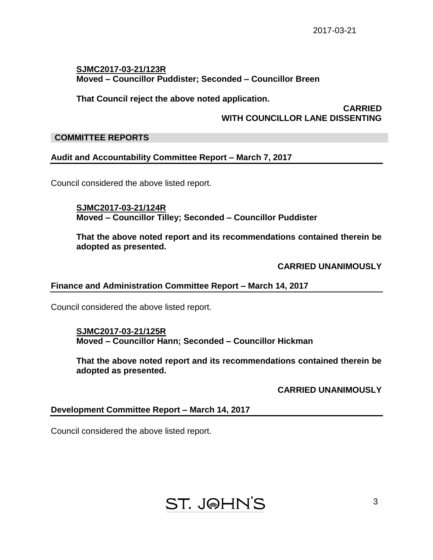# **SJMC2017-03-21/123R Moved – Councillor Puddister; Seconded – Councillor Breen**

**That Council reject the above noted application.**

### **CARRIED WITH COUNCILLOR LANE DISSENTING**

### **COMMITTEE REPORTS**

# **Audit and Accountability Committee Report – March 7, 2017**

Council considered the above listed report.

**SJMC2017-03-21/124R Moved – Councillor Tilley; Seconded – Councillor Puddister**

**That the above noted report and its recommendations contained therein be adopted as presented.**

**CARRIED UNANIMOUSLY**

### **Finance and Administration Committee Report – March 14, 2017**

Council considered the above listed report.

### **SJMC2017-03-21/125R Moved – Councillor Hann; Seconded – Councillor Hickman**

**That the above noted report and its recommendations contained therein be adopted as presented.**

**CARRIED UNANIMOUSLY**

## **Development Committee Report – March 14, 2017**

Council considered the above listed report.

# **ST. JOHN'S**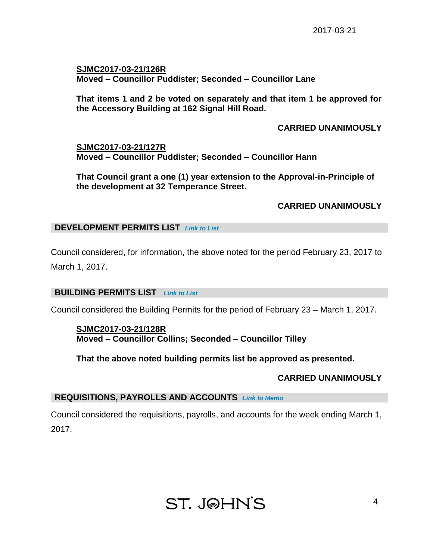**SJMC2017-03-21/126R Moved – Councillor Puddister; Seconded – Councillor Lane**

**That items 1 and 2 be voted on separately and that item 1 be approved for the Accessory Building at 162 Signal Hill Road.**

**CARRIED UNANIMOUSLY**

**SJMC2017-03-21/127R Moved – Councillor Puddister; Seconded – Councillor Hann**

**That Council grant a one (1) year extension to the Approval-in-Principle of the development at 32 Temperance Street.**

# **CARRIED UNANIMOUSLY**

## **DEVELOPMENT PERMITS LIST** *Link to List*

Council considered, for information, the above noted for the period February 23, 2017 to March 1, 2017.

## **BUILDING PERMITS LIST** *Link to List*

Council considered the Building Permits for the period of February 23 – March 1, 2017.

## **SJMC2017-03-21/128R Moved – Councillor Collins; Seconded – Councillor Tilley**

**That the above noted building permits list be approved as presented.**

## **CARRIED UNANIMOUSLY**

## **REQUISITIONS, PAYROLLS AND ACCOUNTS** *Link to Memo*

Council considered the requisitions, payrolls, and accounts for the week ending March 1, 2017.

# **ST. J@HN'S**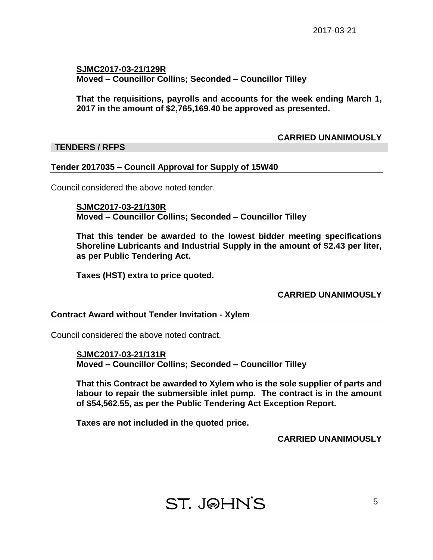## **SJMC2017-03-21/129R Moved – Councillor Collins; Seconded – Councillor Tilley**

**That the requisitions, payrolls and accounts for the week ending March 1, 2017 in the amount of \$2,765,169.40 be approved as presented.**

# **CARRIED UNANIMOUSLY**

# **TENDERS / RFPS**

# **Tender 2017035 – Council Approval for Supply of 15W40**

Council considered the above noted tender.

**SJMC2017-03-21/130R Moved – Councillor Collins; Seconded – Councillor Tilley**

**That this tender be awarded to the lowest bidder meeting specifications Shoreline Lubricants and Industrial Supply in the amount of \$2.43 per liter, as per Public Tendering Act.**

**Taxes (HST) extra to price quoted.**

## **CARRIED UNANIMOUSLY**

## **Contract Award without Tender Invitation - Xylem**

Council considered the above noted contract.

**SJMC2017-03-21/131R Moved – Councillor Collins; Seconded – Councillor Tilley**

**That this Contract be awarded to Xylem who is the sole supplier of parts and labour to repair the submersible inlet pump. The contract is in the amount of \$54,562.55, as per the Public Tendering Act Exception Report.**

**Taxes are not included in the quoted price.**

**CARRIED UNANIMOUSLY**

**ST. J@HN'S**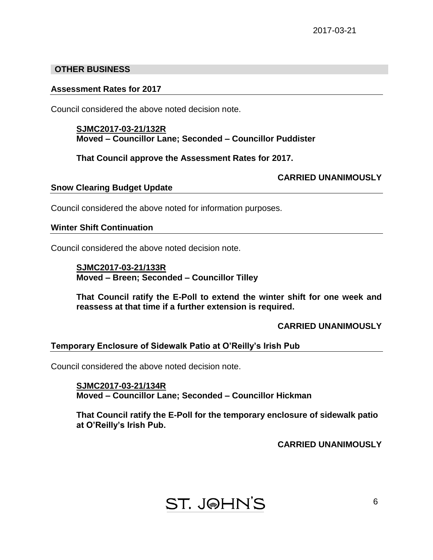# **OTHER BUSINESS**

### **Assessment Rates for 2017**

Council considered the above noted decision note.

### **SJMC2017-03-21/132R Moved – Councillor Lane; Seconded – Councillor Puddister**

**That Council approve the Assessment Rates for 2017.**

## **CARRIED UNANIMOUSLY**

### **Snow Clearing Budget Update**

Council considered the above noted for information purposes.

## **Winter Shift Continuation**

Council considered the above noted decision note.

**SJMC2017-03-21/133R Moved – Breen; Seconded – Councillor Tilley**

**That Council ratify the E-Poll to extend the winter shift for one week and reassess at that time if a further extension is required.**

## **CARRIED UNANIMOUSLY**

## **Temporary Enclosure of Sidewalk Patio at O'Reilly's Irish Pub**

Council considered the above noted decision note.

**SJMC2017-03-21/134R Moved – Councillor Lane; Seconded – Councillor Hickman**

**That Council ratify the E-Poll for the temporary enclosure of sidewalk patio at O'Reilly's Irish Pub.**

**CARRIED UNANIMOUSLY**

# **ST. J@HN'S**